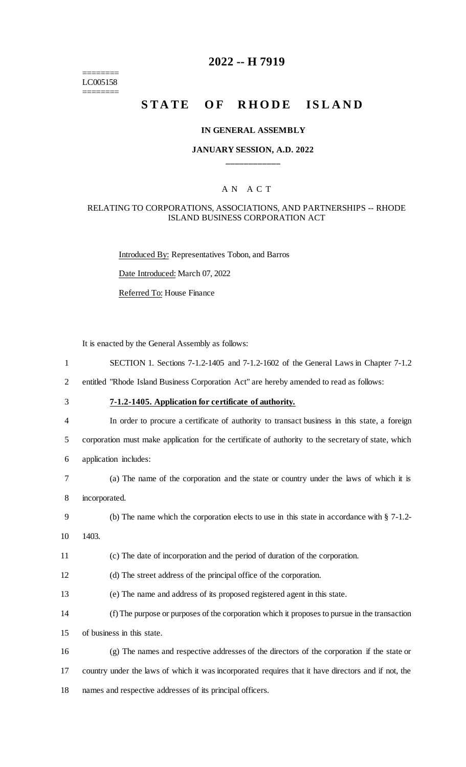======== LC005158 ========

# **2022 -- H 7919**

# **STATE OF RHODE ISLAND**

# **IN GENERAL ASSEMBLY**

## **JANUARY SESSION, A.D. 2022 \_\_\_\_\_\_\_\_\_\_\_\_**

### A N A C T

#### RELATING TO CORPORATIONS, ASSOCIATIONS, AND PARTNERSHIPS -- RHODE ISLAND BUSINESS CORPORATION ACT

Introduced By: Representatives Tobon, and Barros

Date Introduced: March 07, 2022

Referred To: House Finance

It is enacted by the General Assembly as follows:

| SECTION 1. Sections $7-1.2-1405$ and $7-1.2-1602$ of the General Laws in Chapter $7-1.2$            |
|-----------------------------------------------------------------------------------------------------|
| entitled "Rhode Island Business Corporation Act" are hereby amended to read as follows:             |
| 7-1.2-1405. Application for certificate of authority.                                               |
| In order to procure a certificate of authority to transact business in this state, a foreign        |
| corporation must make application for the certificate of authority to the secretary of state, which |
| application includes:                                                                               |
| (a) The name of the corporation and the state or country under the laws of which it is              |
| incorporated.                                                                                       |
| (b) The name which the corporation elects to use in this state in accordance with $\S 7-1.2-$       |
| 1403.                                                                                               |
| (c) The date of incorporation and the period of duration of the corporation.                        |
|                                                                                                     |

12 (d) The street address of the principal office of the corporation.

- 13 (e) The name and address of its proposed registered agent in this state.
- 14 (f) The purpose or purposes of the corporation which it proposes to pursue in the transaction

15 of business in this state.

16 (g) The names and respective addresses of the directors of the corporation if the state or 17 country under the laws of which it was incorporated requires that it have directors and if not, the 18 names and respective addresses of its principal officers.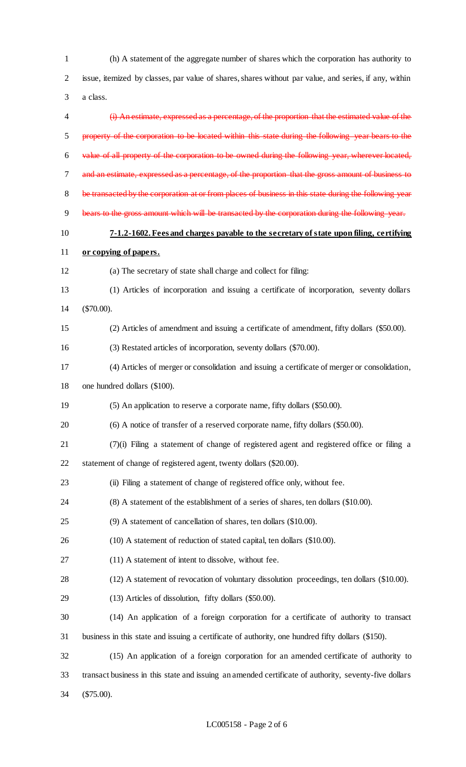(h) A statement of the aggregate number of shares which the corporation has authority to issue, itemized by classes, par value of shares, shares without par value, and series, if any, within a class. (i) An estimate, expressed as a percentage, of the proportion that the estimated value of the property of the corporation to be located within this state during the following year bears to the value of all property of the corporation to be owned during the following year, wherever located, and an estimate, expressed as a percentage, of the proportion that the gross amount of business to 8 be transacted by the corporation at or from places of business in this state during the following year 9 bears to the gross amount which will be transacted by the corporation during the following year. **7-1.2-1602. Fees and charges payable to the secretary of state upon filing, certifying or copying of papers.** (a) The secretary of state shall charge and collect for filing: (1) Articles of incorporation and issuing a certificate of incorporation, seventy dollars (\$70.00). (2) Articles of amendment and issuing a certificate of amendment, fifty dollars (\$50.00). (3) Restated articles of incorporation, seventy dollars (\$70.00). (4) Articles of merger or consolidation and issuing a certificate of merger or consolidation, one hundred dollars (\$100). (5) An application to reserve a corporate name, fifty dollars (\$50.00). (6) A notice of transfer of a reserved corporate name, fifty dollars (\$50.00). (7)(i) Filing a statement of change of registered agent and registered office or filing a statement of change of registered agent, twenty dollars (\$20.00). (ii) Filing a statement of change of registered office only, without fee. (8) A statement of the establishment of a series of shares, ten dollars (\$10.00). (9) A statement of cancellation of shares, ten dollars (\$10.00). (10) A statement of reduction of stated capital, ten dollars (\$10.00). (11) A statement of intent to dissolve, without fee. (12) A statement of revocation of voluntary dissolution proceedings, ten dollars (\$10.00). (13) Articles of dissolution, fifty dollars (\$50.00). (14) An application of a foreign corporation for a certificate of authority to transact business in this state and issuing a certificate of authority, one hundred fifty dollars (\$150). (15) An application of a foreign corporation for an amended certificate of authority to transact business in this state and issuing an amended certificate of authority, seventy-five dollars (\$75.00).

#### LC005158 - Page 2 of 6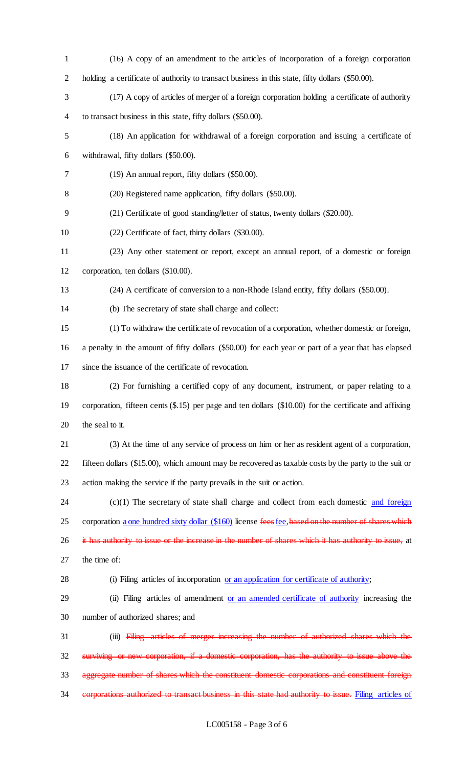(16) A copy of an amendment to the articles of incorporation of a foreign corporation holding a certificate of authority to transact business in this state, fifty dollars (\$50.00). (17) A copy of articles of merger of a foreign corporation holding a certificate of authority to transact business in this state, fifty dollars (\$50.00). (18) An application for withdrawal of a foreign corporation and issuing a certificate of withdrawal, fifty dollars (\$50.00). (19) An annual report, fifty dollars (\$50.00). (20) Registered name application, fifty dollars (\$50.00). (21) Certificate of good standing/letter of status, twenty dollars (\$20.00). (22) Certificate of fact, thirty dollars (\$30.00). (23) Any other statement or report, except an annual report, of a domestic or foreign corporation, ten dollars (\$10.00). (24) A certificate of conversion to a non-Rhode Island entity, fifty dollars (\$50.00). (b) The secretary of state shall charge and collect: (1) To withdraw the certificate of revocation of a corporation, whether domestic or foreign, a penalty in the amount of fifty dollars (\$50.00) for each year or part of a year that has elapsed since the issuance of the certificate of revocation. (2) For furnishing a certified copy of any document, instrument, or paper relating to a corporation, fifteen cents (\$.15) per page and ten dollars (\$10.00) for the certificate and affixing 20 the seal to it. (3) At the time of any service of process on him or her as resident agent of a corporation, fifteen dollars (\$15.00), which amount may be recovered as taxable costs by the party to the suit or action making the service if the party prevails in the suit or action. (c)(1) The secretary of state shall charge and collect from each domestic  $\frac{1}{\text{and foreign}}$ 25 corporation a one hundred sixty dollar (\$160) license fees fee, based on the number of shares which 26 it has authority to issue or the increase in the number of shares which it has authority to issue, at the time of: (i) Filing articles of incorporation or an application for certificate of authority; 29 (ii) Filing articles of amendment or an amended certificate of authority increasing the number of authorized shares; and (iii) Filing articles of merger increasing the number of authorized shares which the surviving or new corporation, if a domestic corporation, has the authority to issue above the aggregate number of shares which the constituent domestic corporations and constituent foreign 34 corporations authorized to transact business in this state had authority to issue. Filing articles of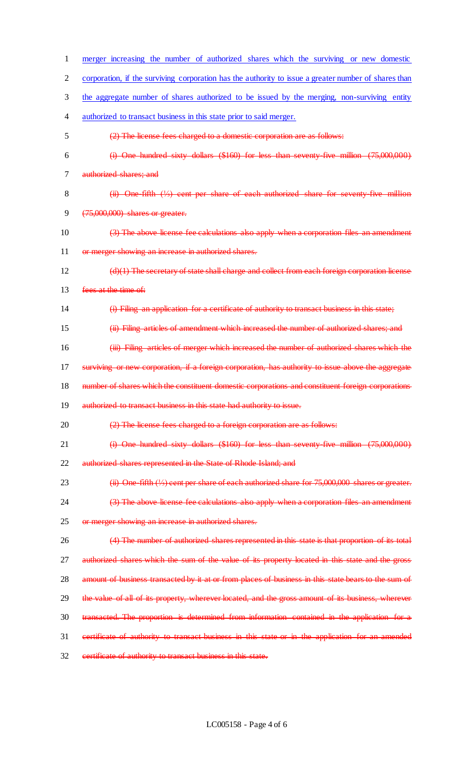| 1              | merger increasing the number of authorized shares which the surviving or new domestic                |
|----------------|------------------------------------------------------------------------------------------------------|
| $\overline{2}$ | corporation, if the surviving corporation has the authority to issue a greater number of shares than |
| 3              | the aggregate number of shares authorized to be issued by the merging, non-surviving entity          |
| 4              | authorized to transact business in this state prior to said merger.                                  |
| 5              | (2) The license fees charged to a domestic corporation are as follows:                               |
| 6              | (i) One hundred sixty dollars (\$160) for less than seventy five million (75,000,000)                |
| 7              | authorized shares; and                                                                               |
| 8              | $(ii)$ One fifth $(V_2)$ cent per share of each authorized share for seventy five million            |
| 9              | $(75,000,000)$ shares or greater.                                                                    |
| 10             | (3) The above license fee calculations also apply when a corporation files an amendment              |
| 11             | or merger showing an increase in authorized shares.                                                  |
| 12             | (d)(1) The secretary of state shall charge and collect from each foreign corporation license         |
| 13             | fees at the time of:                                                                                 |
| 14             | (i) Filing an application for a certificate of authority to transact business in this state;         |
| 15             | (ii) Filing articles of amendment which increased the number of authorized shares; and               |
| 16             | (iii) Filing articles of merger which increased the number of authorized shares which the            |
| 17             | or new corporation, if a foreign corporation, has authority to issue above the aggregate             |
| 18             | number of shares which the constituent domestic corporations and constituent foreign corporations    |
| 19             | authorized to transact business in this state had authority to issue.                                |
| 20             | (2) The license fees charged to a foreign corporation are as follows:                                |
| 21             | (i) One hundred sixty dollars (\$160) for less than seventy five million (75,000,000)                |
| 22             | authorized shares represented in the State of Rhode Island; and                                      |
| 23             | $(ii)$ One fifth $(1/3)$ cent per share of each authorized share for 75,000,000 shares or greater.   |
| 24             | (3) The above license fee calculations also apply when a corporation files an amendment              |
| 25             | or merger showing an increase in authorized shares.                                                  |
| 26             | (4) The number of authorized shares represented in this state is that proportion of its total        |
| 27             | authorized shares which the sum of the value of its property located in this state and the gross     |
| 28             | amount of business transacted by it at or from places of business in this state bears to the sum of  |
| 29             | the value of all of its property, wherever located, and the gross amount of its business, wherever   |
| 30             | transacted. The proportion is determined from information contained in the application for a         |
| 31             |                                                                                                      |
|                | certificate of authority to transact business in this state or in the application for an amended     |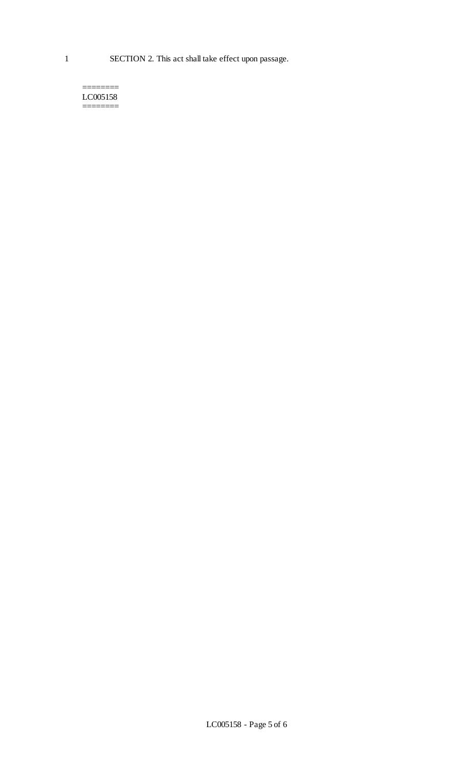======== LC005158 ========